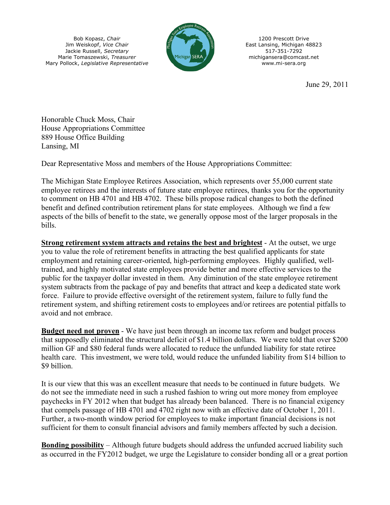Bob Kopasz, *Chair* Jim Weiskopf, *Vice Chair* Jackie Russell, *Secretary* Marie Tomaszewski, *Treasurer* Mary Pollock, *Legislative Representative*



1200 Prescott Drive East Lansing, Michigan 48823 517-351-7292 michigansera@comcast.net www.mi-sera.org

June 29, 2011

Honorable Chuck Moss, Chair House Appropriations Committee 889 House Office Building Lansing, MI

Dear Representative Moss and members of the House Appropriations Committee:

The Michigan State Employee Retirees Association, which represents over 55,000 current state employee retirees and the interests of future state employee retirees, thanks you for the opportunity to comment on HB 4701 and HB 4702. These bills propose radical changes to both the defined benefit and defined contribution retirement plans for state employees. Although we find a few aspects of the bills of benefit to the state, we generally oppose most of the larger proposals in the bills.

**Strong retirement system attracts and retains the best and brightest** - At the outset, we urge you to value the role of retirement benefits in attracting the best qualified applicants for state employment and retaining career-oriented, high-performing employees. Highly qualified, welltrained, and highly motivated state employees provide better and more effective services to the public for the taxpayer dollar invested in them. Any diminution of the state employee retirement system subtracts from the package of pay and benefits that attract and keep a dedicated state work force. Failure to provide effective oversight of the retirement system, failure to fully fund the retirement system, and shifting retirement costs to employees and/or retirees are potential pitfalls to avoid and not embrace.

**Budget need not proven** - We have just been through an income tax reform and budget process that supposedly eliminated the structural deficit of \$1.4 billion dollars. We were told that over \$200 million GF and \$80 federal funds were allocated to reduce the unfunded liability for state retiree health care. This investment, we were told, would reduce the unfunded liability from \$14 billion to \$9 billion.

It is our view that this was an excellent measure that needs to be continued in future budgets. We do not see the immediate need in such a rushed fashion to wring out more money from employee paychecks in FY 2012 when that budget has already been balanced. There is no financial exigency that compels passage of HB 4701 and 4702 right now with an effective date of October 1, 2011. Further, a two-month window period for employees to make important financial decisions is not sufficient for them to consult financial advisors and family members affected by such a decision.

**Bonding possibility** – Although future budgets should address the unfunded accrued liability such as occurred in the FY2012 budget, we urge the Legislature to consider bonding all or a great portion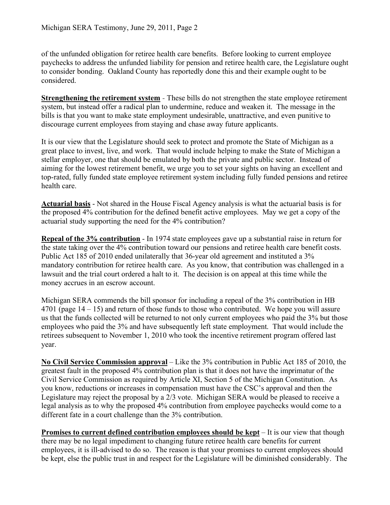of the unfunded obligation for retiree health care benefits. Before looking to current employee paychecks to address the unfunded liability for pension and retiree health care, the Legislature ought to consider bonding. Oakland County has reportedly done this and their example ought to be considered.

**Strengthening the retirement system** - These bills do not strengthen the state employee retirement system, but instead offer a radical plan to undermine, reduce and weaken it. The message in the bills is that you want to make state employment undesirable, unattractive, and even punitive to discourage current employees from staying and chase away future applicants.

It is our view that the Legislature should seek to protect and promote the State of Michigan as a great place to invest, live, and work. That would include helping to make the State of Michigan a stellar employer, one that should be emulated by both the private and public sector. Instead of aiming for the lowest retirement benefit, we urge you to set your sights on having an excellent and top-rated, fully funded state employee retirement system including fully funded pensions and retiree health care.

**Actuarial basis** - Not shared in the House Fiscal Agency analysis is what the actuarial basis is for the proposed 4% contribution for the defined benefit active employees. May we get a copy of the actuarial study supporting the need for the 4% contribution?

**Repeal of the 3% contribution** - In 1974 state employees gave up a substantial raise in return for the state taking over the 4% contribution toward our pensions and retiree health care benefit costs. Public Act 185 of 2010 ended unilaterally that 36-year old agreement and instituted a 3% mandatory contribution for retiree health care. As you know, that contribution was challenged in a lawsuit and the trial court ordered a halt to it. The decision is on appeal at this time while the money accrues in an escrow account.

Michigan SERA commends the bill sponsor for including a repeal of the 3% contribution in HB 4701 (page 14 – 15) and return of those funds to those who contributed. We hope you will assure us that the funds collected will be returned to not only current employees who paid the 3% but those employees who paid the 3% and have subsequently left state employment. That would include the retirees subsequent to November 1, 2010 who took the incentive retirement program offered last year.

**No Civil Service Commission approval** – Like the 3% contribution in Public Act 185 of 2010, the greatest fault in the proposed 4% contribution plan is that it does not have the imprimatur of the Civil Service Commission as required by Article XI, Section 5 of the Michigan Constitution. As you know, reductions or increases in compensation must have the CSC's approval and then the Legislature may reject the proposal by a 2/3 vote. Michigan SERA would be pleased to receive a legal analysis as to why the proposed 4% contribution from employee paychecks would come to a different fate in a court challenge than the 3% contribution.

**Promises to current defined contribution employees should be kept** – It is our view that though there may be no legal impediment to changing future retiree health care benefits for current employees, it is ill-advised to do so. The reason is that your promises to current employees should be kept, else the public trust in and respect for the Legislature will be diminished considerably. The